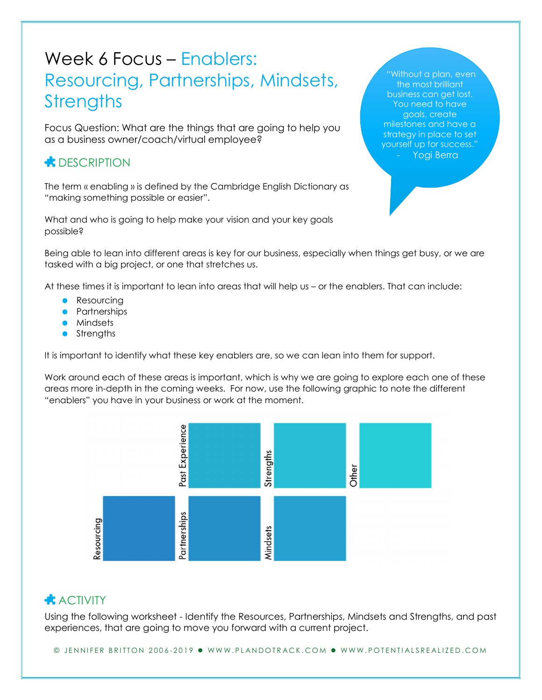## Week 6 Focus – Enablers: Resourcing, Partnerships, Mindsets, **Strengths**

Focus Question: What are the things that are going to help you as a business owner/coach/virtual employee?

## **CONDUCTER** DESCRIPTION

The term « enabling » is defined by the Cambridge English Dictionary as "making something possible or easier".

What and who is going to help make your vision and your key goals possible?

Being able to lean into different areas is key for our business, especially when things get busy, or we are tasked with a big project, or one that stretches us.

At these times it is important to lean into areas that will help us – or the enablers. That can include:

- Resourcing
- **•** Partnerships
- **•** Mindsets
- Strengths

It is important to identify what these key enablers are, so we can lean into them for support.

Work around each of these areas is important, which is why we are going to explore each one of these areas more in-depth in the coming weeks. For now, use the following graphic to note the different "enablers" you have in your business or work at the moment.



## $ACIVITY$

Using the following worksheet - Identify the Resources, Partnerships, Mindsets and Strengths, and past experiences, that are going to move you forward with a current project.

© JENNIFER BRITTON 2006-2019 · WWW.PLANDOTRACK.COM · WWW.POTENTIALSREALIZED.COM

"Without a plan, even the most brilliant business can get lost. You need to have goals, create milestones and have a strategy in place to set yourself up for success." - Yogi Berra